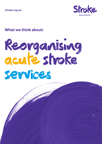

### **What we think about:**

# Reorganising acute stroke services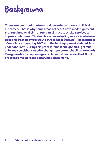# Background

**There are strong links between evidence-based care and clinical outcomes. That is why some areas of the UK have made significant progress in centralising or reorganising acute stroke services to improve outcomes. This involves concentrating services onto fewer sites and creating Hyper Acute Stroke Units (HASUs) – large centres of excellence operating 24/7 with the best equipment and clinicians under one roof. During this process, smaller neighbouring stroke units may be either closed or changed to stroke rehabilitation wards. Reorganisation is happening or is planned elsewhere in the UK but progress is variable and sometimes challenging.**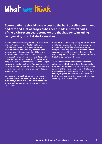# What we think

**Stroke patients should have access to the best possible treatment and care and a lot of progress has been made in several parts of the UK in recent years to make sure that happens, including reorganising hospital stroke services.**

Evidence shows that reorganising stroke services and creating large Hyper Acute Stroke Units (HASUs) with the equipment and experts to treat patients all day, every day, can save lives, improve recoveries and save the NHS money. In Greater Manchester and London, where reorganisation has taken place, patients spend less time in hospital and (in the case of London) are less likely to die as a result of their stroke. This isn't just the case for stroke treatment. Reorganising some services for heart attack patients, for example, has led to lower death rates and it has been effective in saving money.

Stroke survivors and their carers report having positive experiences being treated in HASUs, even if they were unsure at first what treatment in these units would mean and worried about any extra travel.

We know that some people may be worried about smaller stroke units closing or changing purpose to make way for HASUs. We also know that reorganisation may not work in all areas, such as very rural parts of the country. Reorganisation should only happen where it can be demonstrated that stroke patients will benefit.

The evidence is clear that centralised stroke units are more likely to provide effective stroke treatment and we want this to be the case across as much of the country as possible. That is why we are calling on health leaders in all parts of the country to get on with service reorganisation in their areas or explain, after looking at the evidence, why they are not able to do so.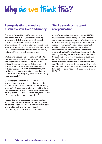# Why do we think this?

### **Reorganisation can reduce disability, save lives and money**

Since the English National Stroke Strategy was introduced in 2007, there have been big improvements in the way stroke is treated in hospital. Stroke is now treated as a medical emergency and if you have a stroke, you are more likely to be treated by a stroke specialist in a stroke unit. You are also more likely to receive disabilityreducing life-saving clot-busting drugs.<sup>1</sup>

While being treated on any stroke unit is better than not being treated on a stroke unit, we know that larger stroke units (HASUs) work more efficiently than smaller ones. Better organised stroke care – as in HASUs – has been shown to reduce mortality.<sup>2</sup> They are better staffed, have the latest equipment, open 24 hours a day and patients are more likely to get the treatment they need as a result. $3$ 

Since reorganisation in Greater Manchester, stroke patients now spend less time in hospital and the same is true in London. In London, nearly an extra 100 lives a year are being saved thanks to reorganisation.4 Also in London, there have been savings to the NHS or £5.2 million per year because of reorganisation, or £811 per patient.<sup>5</sup>

Reorganisation of acute services does not just apply to stroke. For example, reorganising some acute cardiac services led to a significant reduction in mortality, high levels of patient and carer satisfaction, as well as being cost-effective.<sup>6</sup>

### **Stroke survivors support reorganisation**

A big effort needs to be made to explain HASUs to patients and carers if they are to be successful and understood. A combination of bottom-up and top-down leadership has proven to be effective in service reorganisation and so it is essential that health leaders engage with the relevant stakeholders, including patients and carers.<sup>7</sup> Again, in Greater Manchester and London, this is working, although Greater Manchester has been through two sets of reconfiguration in 2010 and 2015. Despite stroke patients often having to travel further to be admitted to a HASU and family and friends having to do the same when they visit, studies have shown that stroke survivors and their families have been happy with their experience of HASUs.8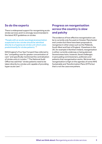### **So do the experts**

There is widespread support for reorganising acute stroke services and it is strongly recommended in the latest RCP guidelines on stroke:

"People with an acute neurological presentation suspected to be a stroke should be admitted directly to a hyperacute stroke unit which cares predominantly for stroke patients." 9

NHS England's Five Year Forward View referred to the "compelling case for greater concentration of care" and specifically mentioned the centralisation of stroke units in London.10 The National Audit Office has said that "stroke patients need to be taken directly to a stroke unit capable of providing hyper acute care".<sup>11</sup>

### **Progress on reorganisation across the country is slow and patchy**

The evidence of how effective reorganisation can be is currently only focused on Greater Manchester and London but there have been proposals to reorganise in other areas such as the Midlands, South West and East of England. Elsewhere in the UK, for example in Northern Ireland, reorganisation is either currently underway or being planned. Several areas have, however, faced challenges in persuading commissioners, politicians and patients that reorganisation works. We know that reorganisation is high on the agendas of some NHS Sustainable and Transformation Plans (STPs) but that is not the case everywhere.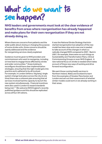# What do we want to see happen?

**NHS leaders and governments must look at the clear evidence of benefits from areas where reorganisation has already happened and make plans for their own reorganisation if they are not already doing so.**

Where there are concerns from patients and the wider public about closing or changing the purpose of some stroke units, those concerns should be openly addressed and the evidence for reorganising services clearly explained.

Guidance must be given to NHS providers and commissioners who want to reorganise, including on how best to engage those affected by stroke and wider communities.12 Areas looking to reconfigure should have clear implementation strategies, ensuring that the right model gets into practice and is adhered to by all involved. For example, in London (where a 'big bang' single system change took place across the city at one time) there was a coherent plan ensuring that all services involved had the capacity to launch the new system simultaneously. Financial incentives were also used in London to reward standards being met.13 We welcome NHS England's recently published guidance and this should be replicated across all four UK nations.

It was the National Stroke Strategy that kickstarted reorganisation but adoption of the new model has been slow and a new one is needed to take account of the changes in what is a radically changed NHS compared to 2007. Back in 2007, for example, there were no such things as Sustainability and Transformation Plans, Clinical Commissioning Groups or even NHS England. A new national focus on stroke is needed which takes account of these new ways of working and drive forward reconfiguration.

We want those running health services in Northern Ireland, Wales and Scotland to learn from the examples of Greater Manchester and London and set out their assessment of whether similar models could work or are already working in their areas.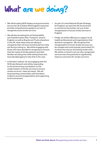# What are we doing?

- **•** We will be asking NHS leaders and governments across the UK to follow NHS England's lead and provide comprehensive guidance on how to reorganise acute stroke services.
- **•** We will also be asking the 44 Sustainability and Transformation Plan 'Footprint' areas in England, as well as Boards and Trusts elsewhere in the UK, what steps they are taking to reorganise their services and what barriers they are facing in doing so. We will be engaging with those who have decided to reorganise to ensure that the needs of stroke patients and their families are being met while asking those who have decided against it why that is the case.
- **•** In Northern Ireland, we are engaging with the NI Stroke Network and will be responding to the forthcoming consultation on the modernisation of stroke services to ensure stroke survivors' views are heard. We will be presenting communities with the latest evidence around reorganisation and supporting local involvement.
- **•** As part of a new National Stroke Strategy for England, we want the UK Government to commit to the further roll-out of the reorganisation of acute stroke services in England.
- **•** Finally, we will be offering our support to all health professionals and organisations that decide to reorganise. We recognise that reorganisation of acute stroke services can be complex and controversial, particularly if it involves the closure of existing stroke units. We will be on hand to set out why reorganised services have the potential to significantly improve outcomes for stroke survivors.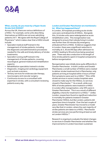

#### **What, exactly, do you mean by a Hyper Acute Stroke Unit (HASU)?**

Across the UK, there are various definitions of a HASU. For example, some units describing themselves as HASUs are not even admitting patients 24/7. We agree with the Royal College of Physicians<sup>14</sup> which makes clear that a HASU should include:

- **•** Specialist medical staff trained in the management of stroke patients, including the diagnostic and administrative procedures needed for the safe and timely delivery of stroke treatments;
- **•** Specialist nursing staff trained in the management of stroke patients, covering neurological, general medical and rehabilitation aspects;
- **•** Rehabilitation specialists trained in stroke;
- **•** Diagnostic, imaging and cardiology equipment such as brain scanners;
- **•** Tertiary services for endovascular therapy, neurosurgery and vascular surgery;
- **•** Continuous access to a consultant with expertise in stroke, with a consultant reviewing patients every day.

#### **London and Greater Manchester are mentioned a lot. What has happened there?**

In London, 30 hospitals providing acute stroke care were centralised into 8 HASUs. Alongside this, 24 stroke units were redesignated as acute rehabilitation units. This reorganisation was designed to ensure that nobody living in London was further than 30 minutes (by emergency ambulance) from a HASU. Evidence suggests that in London, there was a significant reduction in mortality at 3, 30 and 90 days after admission to a HASU, leading to 96 extra lives being saved per year. There was also a reduction in the length of time stroke patients spent in hospital compared to before reorganisation.

Reorganisation was initially done quite differently in Greater Manchester. In both London and Greater Manchester, a small number of HASUs were created to deliver stroke treatment but in Manchester, only patients arriving at hospital within 4 hours of their first symptoms were sent to a HASU.<sup>15</sup> Also, while stroke services in some London hospitals were closed to make way for the HASUs, no services closed in Manchester.16 As a result, while over 90% of stroke patients were treated in a HASU in London after reorganisation, only 39% were in Greater Manchester. This is as a result of different eligibility criteria for treatment in a HASU.17 Unlike London, researchers found no significant reduction in mortality for patients treated in Greater Manchester HASUs, but like London, patients did spend less time in hospital. Over the last couple of years, Greater Manchester has moved to a model very like that in London, where the vast majority of stroke patients are taken to a HASU. Manchester stroke services are now performing at least as well as London HASUs.18

Research is ongoing to evaluate the latest changes to services in Greater Manchester and whether the improvements in London have been sustained.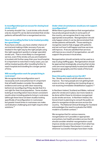#### **Is reconfiguration just an excuse for closing local stroke units?**

It certainly shouldn't be. Local stroke units should only be closed if it can be demonstrated that stroke patients will benefit from a reorganised service.

#### **How can travelling further to be treated possibly be a good thing?**

If you have a stroke, you have a better chance of survival and making a fuller recovery if you are treated in the right way by the right people using the right equipment quickly in a larger specialist stroke unit. That is more likely in a reorganised service, even if the stroke unit you are treated in is located a bit further away than your local hospital. It is important to note that in many cases, you can still be treated quickly after travelling further to reach hospital and travelling for a longer period of time.

#### **Will reconfiguration work for people living in rural areas?**

We recognise that reconfiguration won't necessarily work everywhere but it's important that all health leaders consider the available evidence and come up with clear reasoning behind not reconfiguring if they decide that it is not right for their local population. Some studies looking at reconfiguration have shown consistent results when including patients living in rural areas (although there have not been studies looking specifically of reconfiguration in rural areas) but greater travel times in rural areas can make centralisation challenging and might require other solutions.19

#### **Under what circumstances would you not support reconfiguration?**

While there is good evidence that reorganisation has produced good results in some parts of the country, we recognise that it may not be appropriate everywhere. Reorganisation should only happen where it can be demonstrated that stroke patients will benefit. Those wanting to reorganise need to fully engage with patients and set out how it will happen and how services will improve. If we are satisfied that services will improve as a result of reorganisation, we will support the process in local areas.

Reorganisation should certainly not be used as a way to plug staffing gaps. Reorganisation should be approached strategically, ensuring that stroke units are most appropriately located and staffed based on geography and the needs of the local population.

#### **Does this policy apply across the UK?**

Yes. Stroke services in all UK nations have to improve. Too many people are not getting brain scans on time, not getting clot-busting drugs or not receiving immediate rehabilitation support.20

In Northern Ireland, Scotland and Wales, national plans for stroke are in place, but more needs to be done within these to introduce reorganised acute stroke services. In Northern Ireland, the Government is planning to consult the public on plans to reorganise stroke services across the country. The National Clinical Strategy for Scotland acknowledges the need to evaluate the HASU model in a Scottish context.<sup>21</sup>

We recognise that for various reasons, reorganisation isn't possible or appropriate everywhere, but health providers across the UK should consider whether reorganisation could improve stroke services and learn from what has happened in Greater Manchester in London, or wherever successful changes have been made.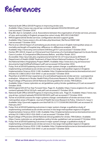## References

- **1.** National Audit Office (2010) Progress in improving stroke care. Available: https://www.nao.org.uk/wp-content/uploads/2010/02/0910291.pdf Last accessed 7 October 2016
- **2.** Bray BD, Ayis S, Campbell J, et al. Associations between the organisation of stroke services, process of care, and mortality in England: prospective cohort study. BMJ 2013;346:f2827
- **3.** NHS England (2016) Stroke services: configuration decision support guide. Available: http://www.eoescn.nhs.uk/index.php/download\_file/force/2069/168/ Last accessed 7 October 2016
- **4.** Morris et al. (2014) Impact of centralising acute stroke services in English metropolitan areas on mortality and length of hospital stay: difference-in-differences analysis. BMJ. Available: http://www.bmj.com/content/349/bmj.g4757 Last accessed 7 October 2016
- **5.** Hunter, RM. (2013). Impact on Clinical and Cost Outcomes of a Centralized Approach to Acute Stroke Care in London: A Comparative Effectiveness Before and After Model. 2013. Accessible: http://journals.plos.org/plosone/article?id=10.1371/journal.pone.0070420
- **6.** Department of Health (2008) Treatment of Heart Attack National Guidance, Final Report of the National Infarct Angioplasty Project (NIAP). Available: http://www.bcis.org.uk/resources/ documents/niap%20final%20report.pdf Last accessed 19 December 2016
- **7.** Fulop, N et al (2016) Explaining outcomes in major system change: a qualitative study of implementing centralised acute stroke services in two large metropolitan regions in England. Implementation Science 2016 11:80. Available: http://implementationscience.biomedcentral.com/ articles/10.1186/s13012-016-0445-z Last accessed 7 October 2016
- **8.** Moynihan et al (2013) User experience of a centralised hyperacute stroke service a prospective evaluation. Advances in Stroke: Health Policy/Outcomes Research, Stroke. 2015;45:2 361-362
- **9.** Royal College of Physicians (2016) National clinical guideline for stroke. Fifth Edition. Available: https://www.rcplondon.ac.uk/guidelines-policy/stroke-guidelines p13 Last accessed 27 October 2016.
- **10.** NHS England (2014) Five Year Forward View. Page 23. Available: https://www.england.nhs.uk/wpcontent/uploads/2014/10/5yfv-web.pdf Last accessed 27 October 2016.
- **11.** National Audit Office (2010) Progress in improving stroke care. Page 24. Available: https://www.nao. org.uk/wp-content/uploads/2010/02/0910291.pdf Last accessed 27 October 2016
- **12.** Turner et al (2016) Lessons for major systems change: centralization of stroke services in two metropolitan areas of England. Journal of Health Services Research & Policy. Volume 21, Issue 3. Available: http://journals.sagepub.com/doi/full/10.1177/1355819615626189 Last accessed 16 February 2017
- **13.** Fulop, N et al (2016) Explaining outcomes in major system change: a qualitative study of implementing centralised acute stroke services in two large metropolitan regions in England. Implementation Science 2016 11:80. Available: http://implementationscience.biomedcentral.com/ articles/10.1186/s13012-016-0445-z Last accessed 7 October 2016
- **14.** Royal College of Physicians (2016) National clinical guideline for stroke. Fifth Edition. Available: https://www.rcplondon.ac.uk/guidelines-policy/stroke-guidelines Last accessed 27 October 2016.
- **15.** Fulop, N et al (2016) Explaining outcomes in major system change: a qualitative study of implementing centralised acute stroke services in two large metropolitan regions in England. Implementation Science 2016 11:80. Available: http://implementationscience.biomedcentral.com/ articles/10.1186/s13012-016-0445-z Last accessed 7 October 2016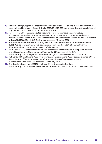- **16.** Ramsay, A et al (2015) Effects of centralizing acute stroke services on stroke care provision in two large metropolitan areas in England. Stroke 2015;46:2246-2251. Available: http://stroke.ahajournals. org/content/46/8/2244 Last accessed 16 February 2017
- **17.** Fulop, N et al (2016) Explaining outcomes in major system change: a qualitative study of implementing centralised acute stroke services in two large metropolitan regions in England. Implementation Science 2016 11:80. Available: http://implementationscience.biomedcentral.com/ articles/10.1186/s13012-016-0445-z Last accessed 7 October 2016
- **18.** RCP Sentinel Stroke National Audit Programme Acute Organisational Audit Report (November 2016), Available: https://www.strokeaudit.org/Documents/Results/National/2016/2016- AOANationalReport.aspx Last accessed 16 February 2017
- **19.** Morris et al. (2014) Impact of centralising acute stroke services in English metropolitan areas on mortality and length of hospital stay: difference-in-differences analysis. BMJ. Available: http://www.bmj.com/content/349/bmj.g4757 Last accessed 7 October 2016
- **20.** RCP Sentinel Stroke National Audit Programme Acute Organisational Audit Report (November 2016), Available: https://www.strokeaudit.org/Documents/Results/National/2016/2016- AOANationalReport.aspx Last accessed 16 February 2017
- **21.** The Scottish Government (2016) A National Clinical Strategy for Scotland. Available: http://www.gov.scot/Resource/0049/00494144.pdf Last accessed 2 December 2016